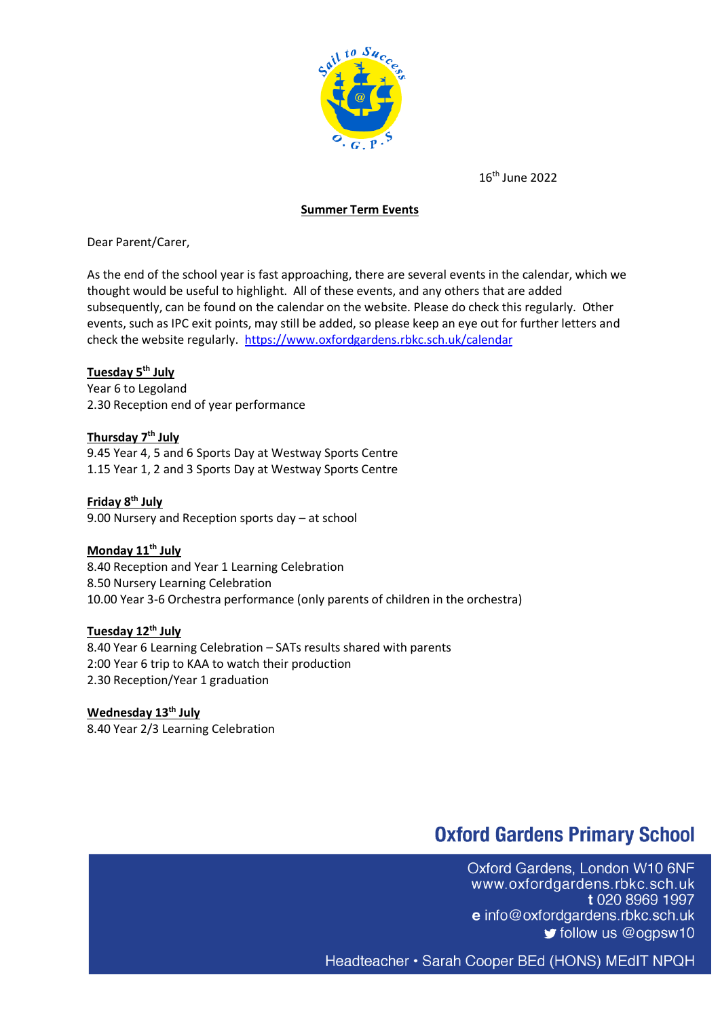

16 th June 2022

#### **Summer Term Events**

Dear Parent/Carer,

As the end of the school year is fast approaching, there are several events in the calendar, which we thought would be useful to highlight. All of these events, and any others that are added subsequently, can be found on the calendar on the website. Please do check this regularly. Other events, such as IPC exit points, may still be added, so please keep an eye out for further letters and check the website regularly. <https://www.oxfordgardens.rbkc.sch.uk/calendar>

#### **Tuesday 5th July**

Year 6 to Legoland 2.30 Reception end of year performance

### **Thursday 7 th July**

9.45 Year 4, 5 and 6 Sports Day at Westway Sports Centre 1.15 Year 1, 2 and 3 Sports Day at Westway Sports Centre

**Friday 8th July** 9.00 Nursery and Reception sports day – at school

### **Monday 11th July**

8.40 Reception and Year 1 Learning Celebration 8.50 Nursery Learning Celebration 10.00 Year 3-6 Orchestra performance (only parents of children in the orchestra)

#### **Tuesday 12th July**

8.40 Year 6 Learning Celebration – SATs results shared with parents 2:00 Year 6 trip to KAA to watch their production 2.30 Reception/Year 1 graduation

**Wednesday 13th July** 8.40 Year 2/3 Learning Celebration

# **Oxford Gardens Primary School**

Oxford Gardens, London W10 6NF www.oxfordgardens.rbkc.sch.uk t 020 8969 1997 e info@oxfordgardens.rbkc.sch.uk  $\blacktriangleright$  follow us @ogpsw10

Headteacher • Sarah Cooper BEd (HONS) MEdIT NPQH